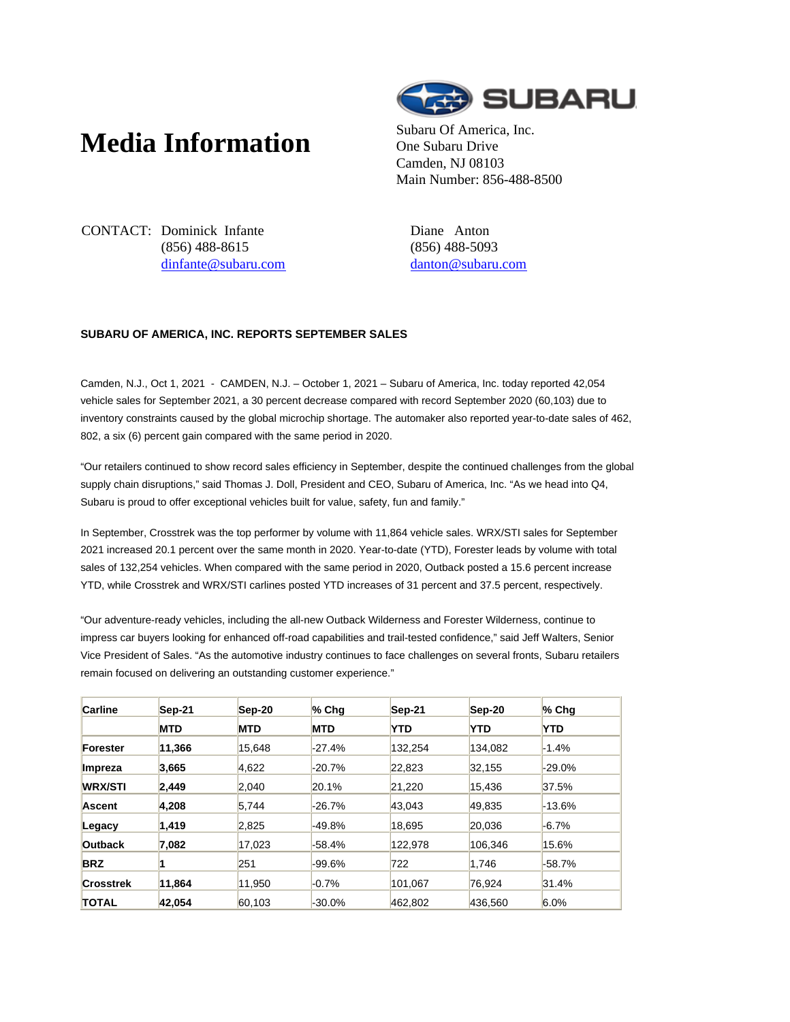## **Media Information** Subaru Of America, Inc.



One Subaru Drive Camden, NJ 08103 Main Number: 856-488-8500

CONTACT: Dominick Infante (856) 488-8615 dinfante@subaru.com Diane Anton (856) 488-5093 danton@subaru.com

## **SUBARU OF AMERICA, INC. REPORTS SEPTEMBER SALES**

Camden, N.J., Oct 1, 2021 - CAMDEN, N.J. – October 1, 2021 – Subaru of America, Inc. today reported 42,054 vehicle sales for September 2021, a 30 percent decrease compared with record September 2020 (60,103) due to inventory constraints caused by the global microchip shortage. The automaker also reported year-to-date sales of 462, 802, a six (6) percent gain compared with the same period in 2020.

"Our retailers continued to show record sales efficiency in September, despite the continued challenges from the global supply chain disruptions," said Thomas J. Doll, President and CEO, Subaru of America, Inc. "As we head into Q4, Subaru is proud to offer exceptional vehicles built for value, safety, fun and family."

In September, Crosstrek was the top performer by volume with 11,864 vehicle sales. WRX/STI sales for September 2021 increased 20.1 percent over the same month in 2020. Year-to-date (YTD), Forester leads by volume with total sales of 132,254 vehicles. When compared with the same period in 2020, Outback posted a 15.6 percent increase YTD, while Crosstrek and WRX/STI carlines posted YTD increases of 31 percent and 37.5 percent, respectively.

"Our adventure-ready vehicles, including the all-new Outback Wilderness and Forester Wilderness, continue to impress car buyers looking for enhanced off-road capabilities and trail-tested confidence," said Jeff Walters, Senior Vice President of Sales. "As the automotive industry continues to face challenges on several fronts, Subaru retailers remain focused on delivering an outstanding customer experience."

| <b>Carline</b>   | Sep-21     | $Sep-20$   | $%$ Chq    | Sep-21     | Sep-20     | $%$ Chq    |
|------------------|------------|------------|------------|------------|------------|------------|
|                  | <b>MTD</b> | <b>MTD</b> | <b>MTD</b> | <b>YTD</b> | <b>YTD</b> | <b>YTD</b> |
| Forester         | 11.366     | 15.648     | $-27.4%$   | 132.254    | 134.082    | $-1.4%$    |
| Impreza          | 3,665      | 4,622      | $-20.7%$   | 22.823     | 32.155     | $-29.0%$   |
| <b>WRX/STI</b>   | 2,449      | 2,040      | 20.1%      | 21,220     | 15,436     | 37.5%      |
| <b>Ascent</b>    | 4,208      | 5,744      | $-26.7%$   | 43.043     | 49,835     | $-13.6%$   |
| Legacy           | 1,419      | 2,825      | -49.8%     | 18.695     | 20.036     | $-6.7\%$   |
| <b>Outback</b>   | 7,082      | 17,023     | $-58.4%$   | 122.978    | 106.346    | 15.6%      |
| <b>BRZ</b>       |            | 251        | -99.6%     | 722        | 1.746      | $-58.7%$   |
| <b>Crosstrek</b> | 11.864     | 11,950     | $-0.7%$    | 101.067    | 76.924     | 31.4%      |
| <b>TOTAL</b>     | 42.054     | 60.103     | $-30.0\%$  | 462.802    | 436.560    | 6.0%       |